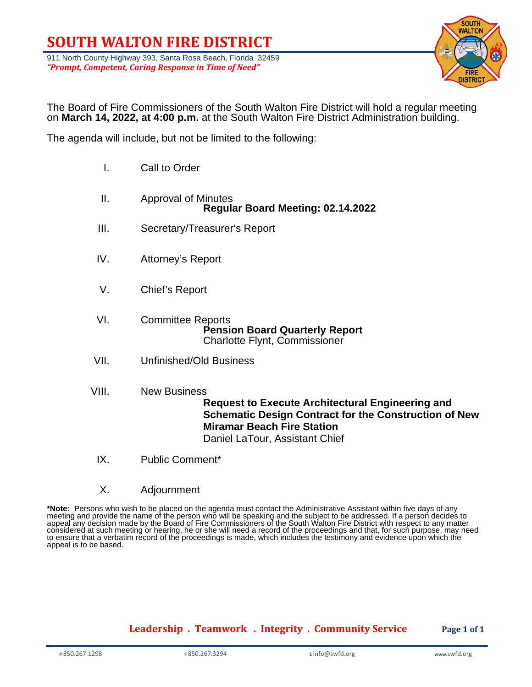# **SOUTH WALTON FIRE DISTRICT**

911 North County Highway 393, Santa Rosa Beach, Florida 32459 *"Prompt, Competent, Caring Response in Time of Need"*



The Board of Fire Commissioners of the South Walton Fire District will hold a regular meeting on **March 14, 2022, at 4:00 p.m.** at the South Walton Fire District Administration building.

The agenda will include, but not be limited to the following:

- I. Call to Order
- II. Approval of Minutes **Regular Board Meeting: 02.14.2022**
- III. Secretary/Treasurer's Report
- IV. Attorney's Report
- V. Chief's Report

VI. Committee Reports **Pension Board Quarterly Report** Charlotte Flynt, Commissioner

- VII. Unfinished/Old Business
- VIII. New Business

**Request to Execute Architectural Engineering and Schematic Design Contract for the Construction of New Miramar Beach Fire Station** Daniel LaTour, Assistant Chief

- IX. Public Comment\*
- X. Adjournment

\***Note:** Persons who wish to be placed on the agenda must contact the Administrative Assistant within five days of any<br>meeting and provide the name of the person who will be speaking and the subject to be addressed. If a p appeal any decision made by the Board of Fire Commissioners of the South Walton Fire District with respect to any matter considered at such meeting or hearing, he or she will need a record of the proceedings and that, for such purpose, may need to ensure that a verbatim record of the proceedings is made, which includes the testimony and evidence upon which the appeal is to be based.

**Leadership . Teamwork . Integrity . Community Service Page 1 of 1**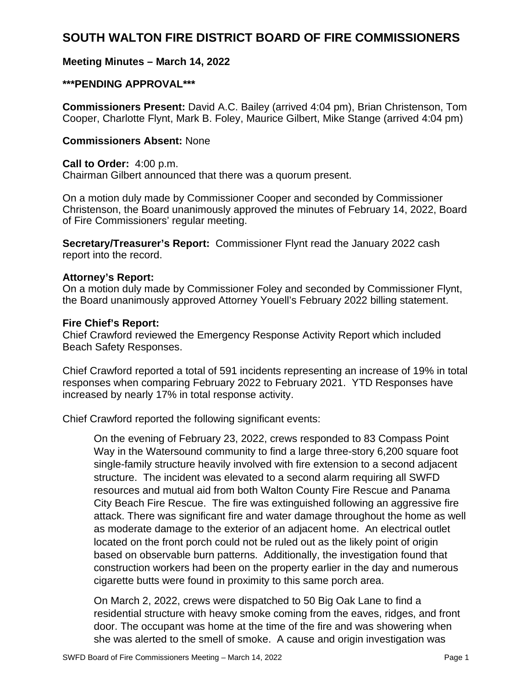# **SOUTH WALTON FIRE DISTRICT BOARD OF FIRE COMMISSIONERS**

# **Meeting Minutes – March 14, 2022**

# **\*\*\*PENDING APPROVAL\*\*\***

**Commissioners Present:** David A.C. Bailey (arrived 4:04 pm), Brian Christenson, Tom Cooper, Charlotte Flynt, Mark B. Foley, Maurice Gilbert, Mike Stange (arrived 4:04 pm)

#### **Commissioners Absent:** None

#### **Call to Order:** 4:00 p.m.

Chairman Gilbert announced that there was a quorum present.

On a motion duly made by Commissioner Cooper and seconded by Commissioner Christenson, the Board unanimously approved the minutes of February 14, 2022, Board of Fire Commissioners' regular meeting.

**Secretary/Treasurer's Report:** Commissioner Flynt read the January 2022 cash report into the record.

# **Attorney's Report:**

On a motion duly made by Commissioner Foley and seconded by Commissioner Flynt, the Board unanimously approved Attorney Youell's February 2022 billing statement.

# **Fire Chief's Report:**

Chief Crawford reviewed the Emergency Response Activity Report which included Beach Safety Responses.

Chief Crawford reported a total of 591 incidents representing an increase of 19% in total responses when comparing February 2022 to February 2021. YTD Responses have increased by nearly 17% in total response activity.

Chief Crawford reported the following significant events:

On the evening of February 23, 2022, crews responded to 83 Compass Point Way in the Watersound community to find a large three-story 6,200 square foot single-family structure heavily involved with fire extension to a second adjacent structure. The incident was elevated to a second alarm requiring all SWFD resources and mutual aid from both Walton County Fire Rescue and Panama City Beach Fire Rescue. The fire was extinguished following an aggressive fire attack. There was significant fire and water damage throughout the home as well as moderate damage to the exterior of an adjacent home. An electrical outlet located on the front porch could not be ruled out as the likely point of origin based on observable burn patterns. Additionally, the investigation found that construction workers had been on the property earlier in the day and numerous cigarette butts were found in proximity to this same porch area.

On March 2, 2022, crews were dispatched to 50 Big Oak Lane to find a residential structure with heavy smoke coming from the eaves, ridges, and front door. The occupant was home at the time of the fire and was showering when she was alerted to the smell of smoke. A cause and origin investigation was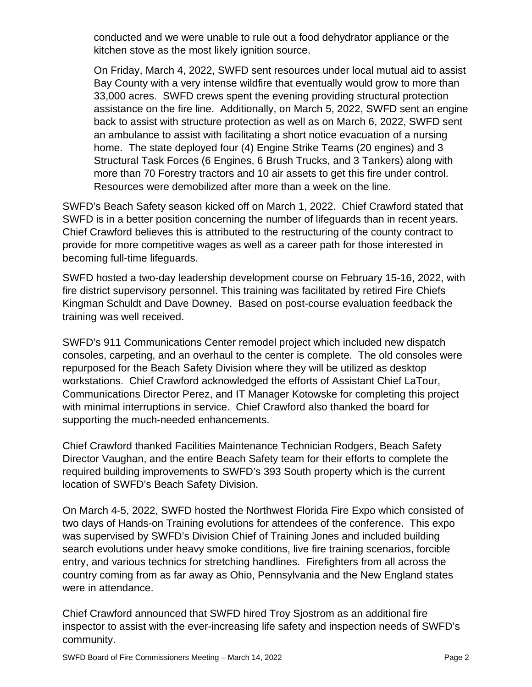conducted and we were unable to rule out a food dehydrator appliance or the kitchen stove as the most likely ignition source.

On Friday, March 4, 2022, SWFD sent resources under local mutual aid to assist Bay County with a very intense wildfire that eventually would grow to more than 33,000 acres. SWFD crews spent the evening providing structural protection assistance on the fire line. Additionally, on March 5, 2022, SWFD sent an engine back to assist with structure protection as well as on March 6, 2022, SWFD sent an ambulance to assist with facilitating a short notice evacuation of a nursing home. The state deployed four (4) Engine Strike Teams (20 engines) and 3 Structural Task Forces (6 Engines, 6 Brush Trucks, and 3 Tankers) along with more than 70 Forestry tractors and 10 air assets to get this fire under control. Resources were demobilized after more than a week on the line.

SWFD's Beach Safety season kicked off on March 1, 2022. Chief Crawford stated that SWFD is in a better position concerning the number of lifeguards than in recent years. Chief Crawford believes this is attributed to the restructuring of the county contract to provide for more competitive wages as well as a career path for those interested in becoming full-time lifeguards.

SWFD hosted a two-day leadership development course on February 15-16, 2022, with fire district supervisory personnel. This training was facilitated by retired Fire Chiefs Kingman Schuldt and Dave Downey. Based on post-course evaluation feedback the training was well received.

SWFD's 911 Communications Center remodel project which included new dispatch consoles, carpeting, and an overhaul to the center is complete. The old consoles were repurposed for the Beach Safety Division where they will be utilized as desktop workstations. Chief Crawford acknowledged the efforts of Assistant Chief LaTour, Communications Director Perez, and IT Manager Kotowske for completing this project with minimal interruptions in service. Chief Crawford also thanked the board for supporting the much-needed enhancements.

Chief Crawford thanked Facilities Maintenance Technician Rodgers, Beach Safety Director Vaughan, and the entire Beach Safety team for their efforts to complete the required building improvements to SWFD's 393 South property which is the current location of SWFD's Beach Safety Division.

On March 4-5, 2022, SWFD hosted the Northwest Florida Fire Expo which consisted of two days of Hands-on Training evolutions for attendees of the conference. This expo was supervised by SWFD's Division Chief of Training Jones and included building search evolutions under heavy smoke conditions, live fire training scenarios, forcible entry, and various technics for stretching handlines. Firefighters from all across the country coming from as far away as Ohio, Pennsylvania and the New England states were in attendance.

Chief Crawford announced that SWFD hired Troy Sjostrom as an additional fire inspector to assist with the ever-increasing life safety and inspection needs of SWFD's community.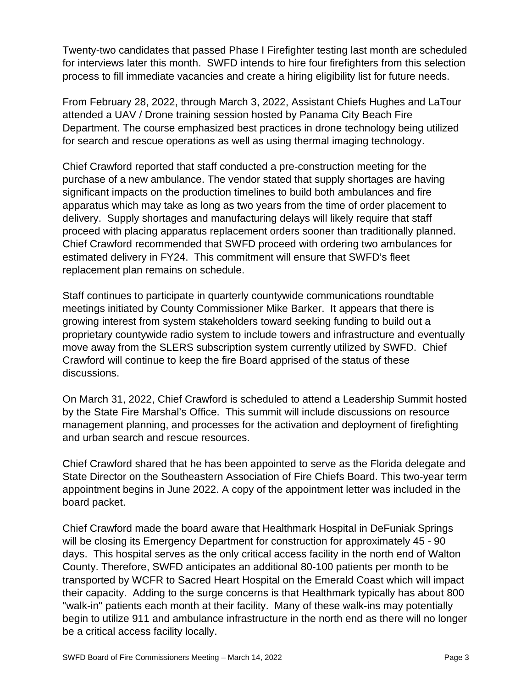Twenty-two candidates that passed Phase I Firefighter testing last month are scheduled for interviews later this month. SWFD intends to hire four firefighters from this selection process to fill immediate vacancies and create a hiring eligibility list for future needs.

From February 28, 2022, through March 3, 2022, Assistant Chiefs Hughes and LaTour attended a UAV / Drone training session hosted by Panama City Beach Fire Department. The course emphasized best practices in drone technology being utilized for search and rescue operations as well as using thermal imaging technology.

Chief Crawford reported that staff conducted a pre-construction meeting for the purchase of a new ambulance. The vendor stated that supply shortages are having significant impacts on the production timelines to build both ambulances and fire apparatus which may take as long as two years from the time of order placement to delivery. Supply shortages and manufacturing delays will likely require that staff proceed with placing apparatus replacement orders sooner than traditionally planned. Chief Crawford recommended that SWFD proceed with ordering two ambulances for estimated delivery in FY24. This commitment will ensure that SWFD's fleet replacement plan remains on schedule.

Staff continues to participate in quarterly countywide communications roundtable meetings initiated by County Commissioner Mike Barker. It appears that there is growing interest from system stakeholders toward seeking funding to build out a proprietary countywide radio system to include towers and infrastructure and eventually move away from the SLERS subscription system currently utilized by SWFD. Chief Crawford will continue to keep the fire Board apprised of the status of these discussions.

On March 31, 2022, Chief Crawford is scheduled to attend a Leadership Summit hosted by the State Fire Marshal's Office. This summit will include discussions on resource management planning, and processes for the activation and deployment of firefighting and urban search and rescue resources.

Chief Crawford shared that he has been appointed to serve as the Florida delegate and State Director on the Southeastern Association of Fire Chiefs Board. This two-year term appointment begins in June 2022. A copy of the appointment letter was included in the board packet.

Chief Crawford made the board aware that Healthmark Hospital in DeFuniak Springs will be closing its Emergency Department for construction for approximately 45 - 90 days. This hospital serves as the only critical access facility in the north end of Walton County. Therefore, SWFD anticipates an additional 80-100 patients per month to be transported by WCFR to Sacred Heart Hospital on the Emerald Coast which will impact their capacity. Adding to the surge concerns is that Healthmark typically has about 800 "walk-in" patients each month at their facility. Many of these walk-ins may potentially begin to utilize 911 and ambulance infrastructure in the north end as there will no longer be a critical access facility locally.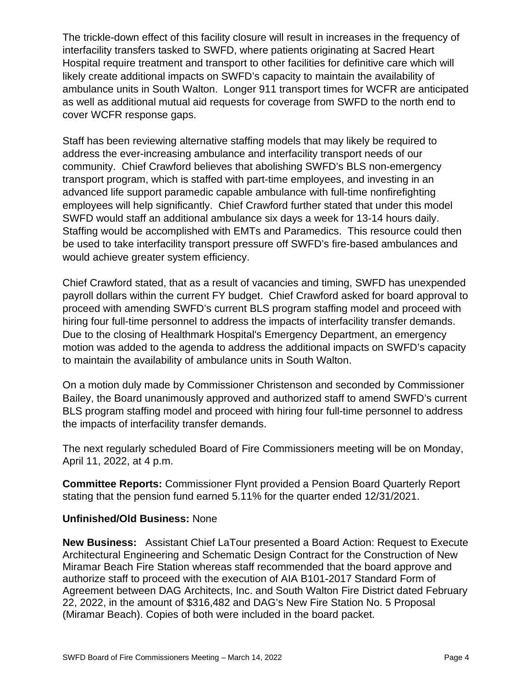The trickle-down effect of this facility closure will result in increases in the frequency of interfacility transfers tasked to SWFD, where patients originating at Sacred Heart Hospital require treatment and transport to other facilities for definitive care which will likely create additional impacts on SWFD's capacity to maintain the availability of ambulance units in South Walton. Longer 911 transport times for WCFR are anticipated as well as additional mutual aid requests for coverage from SWFD to the north end to cover WCFR response gaps.

Staff has been reviewing alternative staffing models that may likely be required to address the ever-increasing ambulance and interfacility transport needs of our community. Chief Crawford believes that abolishing SWFD's BLS non-emergency transport program, which is staffed with part-time employees, and investing in an advanced life support paramedic capable ambulance with full-time nonfirefighting employees will help significantly. Chief Crawford further stated that under this model SWFD would staff an additional ambulance six days a week for 13-14 hours daily. Staffing would be accomplished with EMTs and Paramedics. This resource could then be used to take interfacility transport pressure off SWFD's fire-based ambulances and would achieve greater system efficiency.

Chief Crawford stated, that as a result of vacancies and timing, SWFD has unexpended payroll dollars within the current FY budget. Chief Crawford asked for board approval to proceed with amending SWFD's current BLS program staffing model and proceed with hiring four full-time personnel to address the impacts of interfacility transfer demands. Due to the closing of Healthmark Hospital's Emergency Department, an emergency motion was added to the agenda to address the additional impacts on SWFD's capacity to maintain the availability of ambulance units in South Walton.

On a motion duly made by Commissioner Christenson and seconded by Commissioner Bailey, the Board unanimously approved and authorized staff to amend SWFD's current BLS program staffing model and proceed with hiring four full-time personnel to address the impacts of interfacility transfer demands.

The next regularly scheduled Board of Fire Commissioners meeting will be on Monday, April 11, 2022, at 4 p.m.

**Committee Reports:** Commissioner Flynt provided a Pension Board Quarterly Report stating that the pension fund earned 5.11% for the quarter ended 12/31/2021.

# **Unfinished/Old Business:** None

**New Business:** Assistant Chief LaTour presented a Board Action: Request to Execute Architectural Engineering and Schematic Design Contract for the Construction of New Miramar Beach Fire Station whereas staff recommended that the board approve and authorize staff to proceed with the execution of AIA B101-2017 Standard Form of Agreement between DAG Architects, Inc. and South Walton Fire District dated February 22, 2022, in the amount of \$316,482 and DAG's New Fire Station No. 5 Proposal (Miramar Beach). Copies of both were included in the board packet.